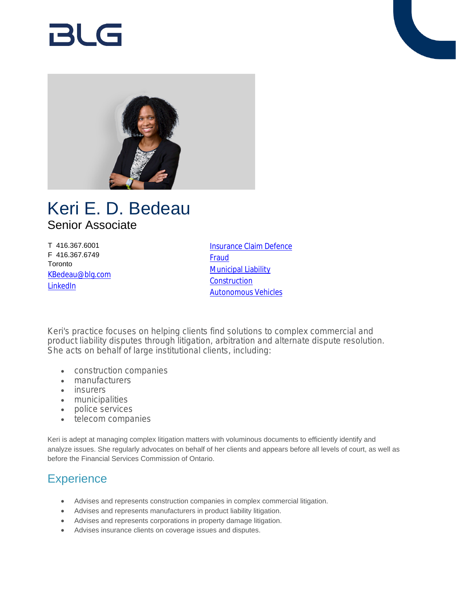# Bl G



## Keri E. D. Bedeau Senior Associate

T 416.367.6001 F 416.367.6749 **Toronto** [KBedeau@blg.com](mailto:KBedeau@blg.com) [LinkedIn](http://www.linkedin.com/pub/keri-bedeau/57/bab/6a3)

[Insurance Claim Defence](https://www.blg.com/en/services/practice-areas/disputes/insurance-claim-defence) [Fraud](https://www.blg.com/en/services/practice-areas/disputes/fraud) **[Municipal Liability](https://www.blg.com/en/services/practice-areas/disputes/municipal-liability) [Construction](https://www.blg.com/en/services/practice-areas/construction)** [Autonomous Vehicles](https://www.blg.com/en/services/industries/transportation/autonomous-vehicles)

Keri's practice focuses on helping clients find solutions to complex commercial and product liability disputes through litigation, arbitration and alternate dispute resolution. She acts on behalf of large institutional clients, including:

- construction companies
- manufacturers
- insurers
- municipalities
- police services
- telecom companies

Keri is adept at managing complex litigation matters with voluminous documents to efficiently identify and analyze issues. She regularly advocates on behalf of her clients and appears before all levels of court, as well as before the Financial Services Commission of Ontario.

## **Experience**

- Advises and represents construction companies in complex commercial litigation.
- Advises and represents manufacturers in product liability litigation.
- Advises and represents corporations in property damage litigation.
- Advises insurance clients on coverage issues and disputes.